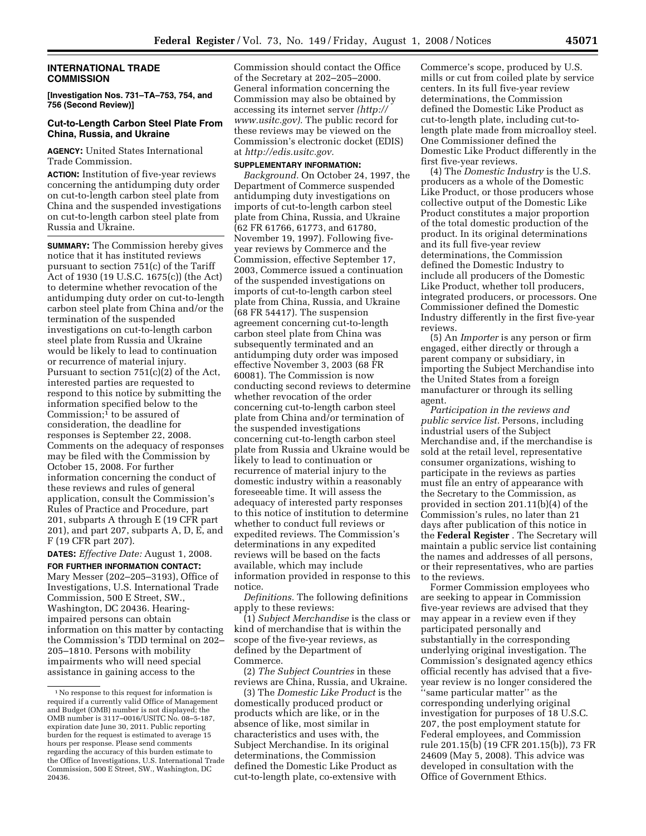### **INTERNATIONAL TRADE COMMISSION**

**[Investigation Nos. 731–TA–753, 754, and 756 (Second Review)]** 

# **Cut-to-Length Carbon Steel Plate From China, Russia, and Ukraine**

### **AGENCY:** United States International Trade Commission.

**ACTION:** Institution of five-year reviews concerning the antidumping duty order on cut-to-length carbon steel plate from China and the suspended investigations on cut-to-length carbon steel plate from Russia and Ukraine.

**SUMMARY:** The Commission hereby gives notice that it has instituted reviews pursuant to section 751(c) of the Tariff Act of 1930 (19 U.S.C. 1675(c)) (the Act) to determine whether revocation of the antidumping duty order on cut-to-length carbon steel plate from China and/or the termination of the suspended investigations on cut-to-length carbon steel plate from Russia and Ukraine would be likely to lead to continuation or recurrence of material injury. Pursuant to section 751(c)(2) of the Act, interested parties are requested to respond to this notice by submitting the information specified below to the Commission; $<sup>1</sup>$  to be assured of</sup> consideration, the deadline for responses is September 22, 2008. Comments on the adequacy of responses may be filed with the Commission by October 15, 2008. For further information concerning the conduct of these reviews and rules of general application, consult the Commission's Rules of Practice and Procedure, part 201, subparts A through E (19 CFR part 201), and part 207, subparts A, D, E, and F (19 CFR part 207).

**DATES:** *Effective Date:* August 1, 2008. **FOR FURTHER INFORMATION CONTACT:** 

Mary Messer (202–205–3193), Office of Investigations, U.S. International Trade Commission, 500 E Street, SW., Washington, DC 20436. Hearingimpaired persons can obtain information on this matter by contacting the Commission's TDD terminal on 202– 205–1810. Persons with mobility impairments who will need special assistance in gaining access to the

Commission should contact the Office of the Secretary at 202–205–2000. General information concerning the Commission may also be obtained by accessing its internet server *(http:// www.usitc.gov).* The public record for these reviews may be viewed on the Commission's electronic docket (EDIS) at *http://edis.usitc.gov.* 

### **SUPPLEMENTARY INFORMATION:**

*Background.* On October 24, 1997, the Department of Commerce suspended antidumping duty investigations on imports of cut-to-length carbon steel plate from China, Russia, and Ukraine (62 FR 61766, 61773, and 61780, November 19, 1997). Following fiveyear reviews by Commerce and the Commission, effective September 17, 2003, Commerce issued a continuation of the suspended investigations on imports of cut-to-length carbon steel plate from China, Russia, and Ukraine (68 FR 54417). The suspension agreement concerning cut-to-length carbon steel plate from China was subsequently terminated and an antidumping duty order was imposed effective November 3, 2003 (68 FR 60081). The Commission is now conducting second reviews to determine whether revocation of the order concerning cut-to-length carbon steel plate from China and/or termination of the suspended investigations concerning cut-to-length carbon steel plate from Russia and Ukraine would be likely to lead to continuation or recurrence of material injury to the domestic industry within a reasonably foreseeable time. It will assess the adequacy of interested party responses to this notice of institution to determine whether to conduct full reviews or expedited reviews. The Commission's determinations in any expedited reviews will be based on the facts available, which may include information provided in response to this notice.

*Definitions.* The following definitions apply to these reviews:

(1) *Subject Merchandise* is the class or kind of merchandise that is within the scope of the five-year reviews, as defined by the Department of Commerce.

(2) *The Subject Countries* in these reviews are China, Russia, and Ukraine.

(3) The *Domestic Like Product* is the domestically produced product or products which are like, or in the absence of like, most similar in characteristics and uses with, the Subject Merchandise. In its original determinations, the Commission defined the Domestic Like Product as cut-to-length plate, co-extensive with

Commerce's scope, produced by U.S. mills or cut from coiled plate by service centers. In its full five-year review determinations, the Commission defined the Domestic Like Product as cut-to-length plate, including cut-tolength plate made from microalloy steel. One Commissioner defined the Domestic Like Product differently in the first five-year reviews.

(4) The *Domestic Industry* is the U.S. producers as a whole of the Domestic Like Product, or those producers whose collective output of the Domestic Like Product constitutes a major proportion of the total domestic production of the product. In its original determinations and its full five-year review determinations, the Commission defined the Domestic Industry to include all producers of the Domestic Like Product, whether toll producers, integrated producers, or processors. One Commissioner defined the Domestic Industry differently in the first five-year reviews.

(5) An *Importer* is any person or firm engaged, either directly or through a parent company or subsidiary, in importing the Subject Merchandise into the United States from a foreign manufacturer or through its selling agent.

*Participation in the reviews and public service list.* Persons, including industrial users of the Subject Merchandise and, if the merchandise is sold at the retail level, representative consumer organizations, wishing to participate in the reviews as parties must file an entry of appearance with the Secretary to the Commission, as provided in section 201.11(b)(4) of the Commission's rules, no later than 21 days after publication of this notice in the **Federal Register** . The Secretary will maintain a public service list containing the names and addresses of all persons, or their representatives, who are parties to the reviews.

Former Commission employees who are seeking to appear in Commission five-year reviews are advised that they may appear in a review even if they participated personally and substantially in the corresponding underlying original investigation. The Commission's designated agency ethics official recently has advised that a fiveyear review is no longer considered the ''same particular matter'' as the corresponding underlying original investigation for purposes of 18 U.S.C. 207, the post employment statute for Federal employees, and Commission rule 201.15(b) (19 CFR 201.15(b)), 73 FR 24609 (May 5, 2008). This advice was developed in consultation with the Office of Government Ethics.

<sup>1</sup>No response to this request for information is required if a currently valid Office of Management and Budget (OMB) number is not displayed; the OMB number is 3117–0016/USITC No. 08–5-187, expiration date June 30, 2011. Public reporting burden for the request is estimated to average 15 hours per response. Please send comments regarding the accuracy of this burden estimate to the Office of Investigations, U.S. International Trade Commission, 500 E Street, SW., Washington, DC 20436.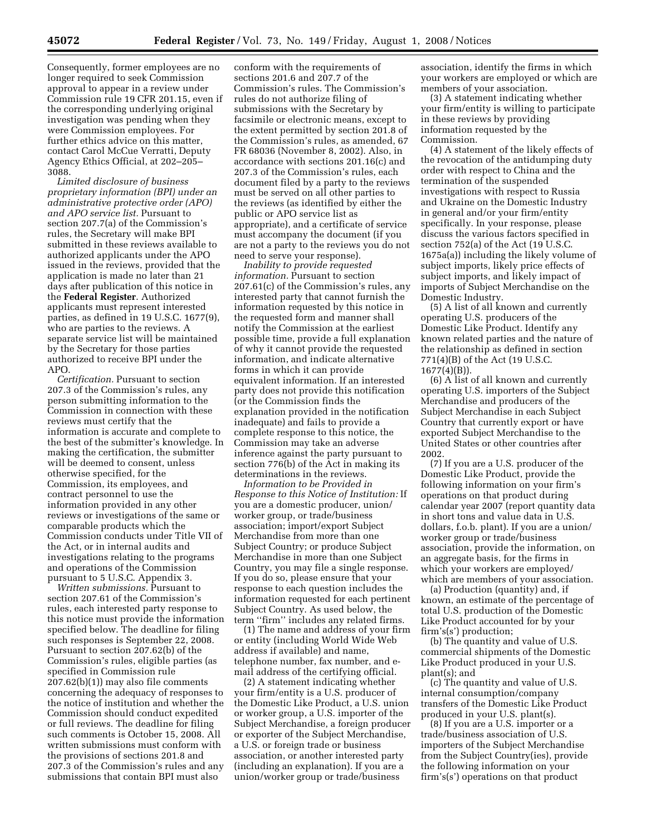Consequently, former employees are no longer required to seek Commission approval to appear in a review under Commission rule 19 CFR 201.15, even if the corresponding underlying original investigation was pending when they were Commission employees. For further ethics advice on this matter, contact Carol McCue Verratti, Deputy Agency Ethics Official, at 202–205– 3088.

*Limited disclosure of business proprietary information (BPI) under an administrative protective order (APO) and APO service list.* Pursuant to section 207.7(a) of the Commission's rules, the Secretary will make BPI submitted in these reviews available to authorized applicants under the APO issued in the reviews, provided that the application is made no later than 21 days after publication of this notice in the **Federal Register**. Authorized applicants must represent interested parties, as defined in 19 U.S.C. 1677(9), who are parties to the reviews. A separate service list will be maintained by the Secretary for those parties authorized to receive BPI under the APO.

*Certification.* Pursuant to section 207.3 of the Commission's rules, any person submitting information to the Commission in connection with these reviews must certify that the information is accurate and complete to the best of the submitter's knowledge. In making the certification, the submitter will be deemed to consent, unless otherwise specified, for the Commission, its employees, and contract personnel to use the information provided in any other reviews or investigations of the same or comparable products which the Commission conducts under Title VII of the Act, or in internal audits and investigations relating to the programs and operations of the Commission pursuant to 5 U.S.C. Appendix 3.

*Written submissions.* Pursuant to section 207.61 of the Commission's rules, each interested party response to this notice must provide the information specified below. The deadline for filing such responses is September 22, 2008. Pursuant to section 207.62(b) of the Commission's rules, eligible parties (as specified in Commission rule 207.62(b)(1)) may also file comments concerning the adequacy of responses to the notice of institution and whether the Commission should conduct expedited or full reviews. The deadline for filing such comments is October 15, 2008. All written submissions must conform with the provisions of sections 201.8 and 207.3 of the Commission's rules and any submissions that contain BPI must also

conform with the requirements of sections 201.6 and 207.7 of the Commission's rules. The Commission's rules do not authorize filing of submissions with the Secretary by facsimile or electronic means, except to the extent permitted by section 201.8 of the Commission's rules, as amended, 67 FR 68036 (November 8, 2002). Also, in accordance with sections 201.16(c) and 207.3 of the Commission's rules, each document filed by a party to the reviews must be served on all other parties to the reviews (as identified by either the public or APO service list as appropriate), and a certificate of service must accompany the document (if you are not a party to the reviews you do not need to serve your response).

*Inability to provide requested information.* Pursuant to section 207.61(c) of the Commission's rules, any interested party that cannot furnish the information requested by this notice in the requested form and manner shall notify the Commission at the earliest possible time, provide a full explanation of why it cannot provide the requested information, and indicate alternative forms in which it can provide equivalent information. If an interested party does not provide this notification (or the Commission finds the explanation provided in the notification inadequate) and fails to provide a complete response to this notice, the Commission may take an adverse inference against the party pursuant to section 776(b) of the Act in making its determinations in the reviews.

*Information to be Provided in Response to this Notice of Institution:* If you are a domestic producer, union/ worker group, or trade/business association; import/export Subject Merchandise from more than one Subject Country; or produce Subject Merchandise in more than one Subject Country, you may file a single response. If you do so, please ensure that your response to each question includes the information requested for each pertinent Subject Country. As used below, the term ''firm'' includes any related firms.

(1) The name and address of your firm or entity (including World Wide Web address if available) and name, telephone number, fax number, and email address of the certifying official.

(2) A statement indicating whether your firm/entity is a U.S. producer of the Domestic Like Product, a U.S. union or worker group, a U.S. importer of the Subject Merchandise, a foreign producer or exporter of the Subject Merchandise, a U.S. or foreign trade or business association, or another interested party (including an explanation). If you are a union/worker group or trade/business

association, identify the firms in which your workers are employed or which are members of your association.

(3) A statement indicating whether your firm/entity is willing to participate in these reviews by providing information requested by the Commission.

(4) A statement of the likely effects of the revocation of the antidumping duty order with respect to China and the termination of the suspended investigations with respect to Russia and Ukraine on the Domestic Industry in general and/or your firm/entity specifically. In your response, please discuss the various factors specified in section 752(a) of the Act (19 U.S.C. 1675a(a)) including the likely volume of subject imports, likely price effects of subject imports, and likely impact of imports of Subject Merchandise on the Domestic Industry.

(5) A list of all known and currently operating U.S. producers of the Domestic Like Product. Identify any known related parties and the nature of the relationship as defined in section 771(4)(B) of the Act (19 U.S.C. 1677(4)(B)).

(6) A list of all known and currently operating U.S. importers of the Subject Merchandise and producers of the Subject Merchandise in each Subject Country that currently export or have exported Subject Merchandise to the United States or other countries after 2002.

(7) If you are a U.S. producer of the Domestic Like Product, provide the following information on your firm's operations on that product during calendar year 2007 (report quantity data in short tons and value data in U.S. dollars, f.o.b. plant). If you are a union/ worker group or trade/business association, provide the information, on an aggregate basis, for the firms in which your workers are employed/ which are members of your association.

(a) Production (quantity) and, if known, an estimate of the percentage of total U.S. production of the Domestic Like Product accounted for by your firm's(s') production;

(b) The quantity and value of U.S. commercial shipments of the Domestic Like Product produced in your U.S. plant(s); and

(c) The quantity and value of U.S. internal consumption/company transfers of the Domestic Like Product produced in your U.S. plant(s).

(8) If you are a U.S. importer or a trade/business association of U.S. importers of the Subject Merchandise from the Subject Country(ies), provide the following information on your firm's(s') operations on that product